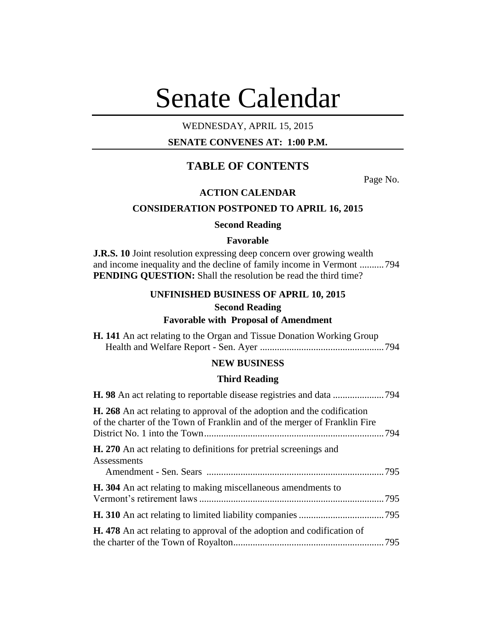# Senate Calendar

# WEDNESDAY, APRIL 15, 2015

# **SENATE CONVENES AT: 1:00 P.M.**

# **TABLE OF CONTENTS**

Page No.

# **ACTION CALENDAR**

## **CONSIDERATION POSTPONED TO APRIL 16, 2015**

## **Second Reading**

# **Favorable**

**J.R.S. 10** Joint resolution expressing deep concern over growing wealth and income inequality and the decline of family income in Vermont ..........794 **PENDING QUESTION:** Shall the resolution be read the third time?

# **UNFINISHED BUSINESS OF APRIL 10, 2015**

## **Second Reading**

#### **Favorable with Proposal of Amendment**

| <b>H. 141</b> An act relating to the Organ and Tissue Donation Working Group |  |
|------------------------------------------------------------------------------|--|
|                                                                              |  |

# **NEW BUSINESS**

#### **Third Reading**

| <b>H. 268</b> An act relating to approval of the adoption and the codification<br>of the charter of the Town of Franklin and of the merger of Franklin Fire |  |
|-------------------------------------------------------------------------------------------------------------------------------------------------------------|--|
| <b>H.</b> 270 An act relating to definitions for pretrial screenings and                                                                                    |  |
| Assessments                                                                                                                                                 |  |
| H. 304 An act relating to making miscellaneous amendments to                                                                                                |  |
|                                                                                                                                                             |  |
| <b>H.</b> 478 An act relating to approval of the adoption and codification of                                                                               |  |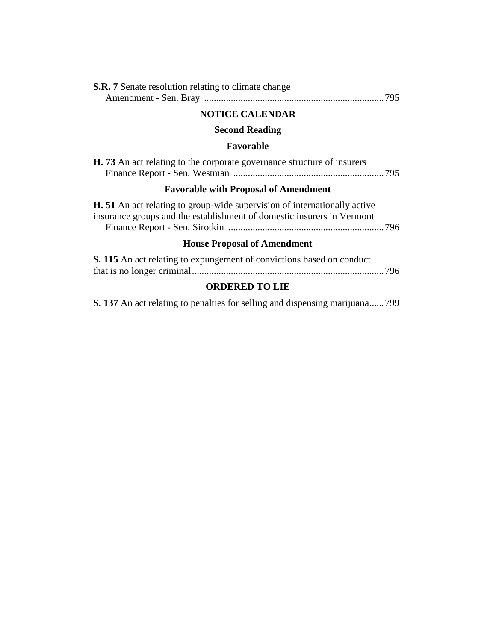| S.R. 7 Senate resolution relating to climate change |  |
|-----------------------------------------------------|--|
|                                                     |  |

# **NOTICE CALENDAR**

# **Second Reading**

# **Favorable**

| <b>H.</b> 73 An act relating to the corporate governance structure of insurers |  |
|--------------------------------------------------------------------------------|--|
|                                                                                |  |

# **Favorable with Proposal of Amendment**

| <b>H.</b> 51 An act relating to group-wide supervision of internationally active |  |
|----------------------------------------------------------------------------------|--|
| insurance groups and the establishment of domestic insurers in Vermont           |  |
|                                                                                  |  |

# **House Proposal of Amendment**

| S. 115 An act relating to expungement of convictions based on conduct |  |
|-----------------------------------------------------------------------|--|
|                                                                       |  |

# **ORDERED TO LIE**

**S. 137** An act relating to penalties for selling and dispensing marijuana......799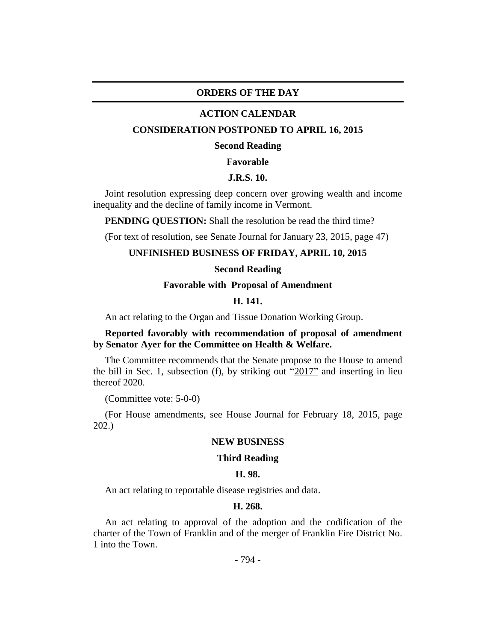## **ORDERS OF THE DAY**

#### **ACTION CALENDAR**

#### **CONSIDERATION POSTPONED TO APRIL 16, 2015**

#### **Second Reading**

### **Favorable**

#### **J.R.S. 10.**

Joint resolution expressing deep concern over growing wealth and income inequality and the decline of family income in Vermont.

**PENDING QUESTION:** Shall the resolution be read the third time?

(For text of resolution, see Senate Journal for January 23, 2015, page 47)

## **UNFINISHED BUSINESS OF FRIDAY, APRIL 10, 2015**

#### **Second Reading**

#### **Favorable with Proposal of Amendment**

#### **H. 141.**

An act relating to the Organ and Tissue Donation Working Group.

# **Reported favorably with recommendation of proposal of amendment by Senator Ayer for the Committee on Health & Welfare.**

The Committee recommends that the Senate propose to the House to amend the bill in Sec. 1, subsection (f), by striking out "2017" and inserting in lieu thereof 2020.

(Committee vote: 5-0-0)

(For House amendments, see House Journal for February 18, 2015, page 202.)

#### **NEW BUSINESS**

#### **Third Reading**

## **H. 98.**

An act relating to reportable disease registries and data.

#### **H. 268.**

An act relating to approval of the adoption and the codification of the charter of the Town of Franklin and of the merger of Franklin Fire District No. 1 into the Town.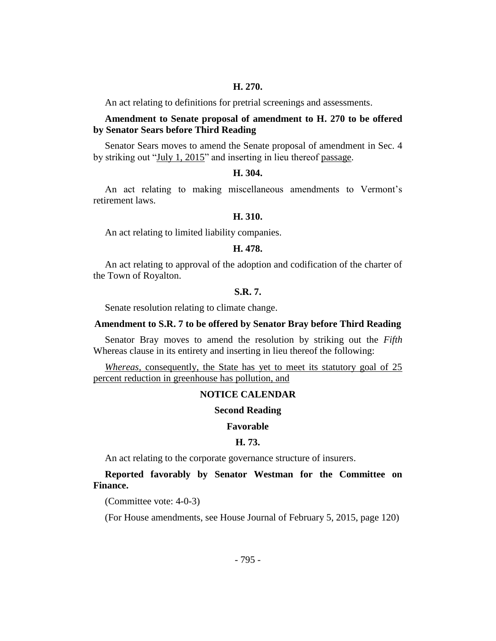An act relating to definitions for pretrial screenings and assessments.

# **Amendment to Senate proposal of amendment to H. 270 to be offered by Senator Sears before Third Reading**

Senator Sears moves to amend the Senate proposal of amendment in Sec. 4 by striking out "July 1, 2015" and inserting in lieu thereof passage.

# **H. 304.**

An act relating to making miscellaneous amendments to Vermont's retirement laws.

## **H. 310.**

An act relating to limited liability companies.

#### **H. 478.**

An act relating to approval of the adoption and codification of the charter of the Town of Royalton.

# **S.R. 7.**

Senate resolution relating to climate change.

#### **Amendment to S.R. 7 to be offered by Senator Bray before Third Reading**

Senator Bray moves to amend the resolution by striking out the *Fifth* Whereas clause in its entirety and inserting in lieu thereof the following:

*Whereas,* consequently, the State has yet to meet its statutory goal of 25 percent reduction in greenhouse has pollution, and

#### **NOTICE CALENDAR**

#### **Second Reading**

#### **Favorable**

#### **H. 73.**

An act relating to the corporate governance structure of insurers.

# **Reported favorably by Senator Westman for the Committee on Finance.**

(Committee vote: 4-0-3)

(For House amendments, see House Journal of February 5, 2015, page 120)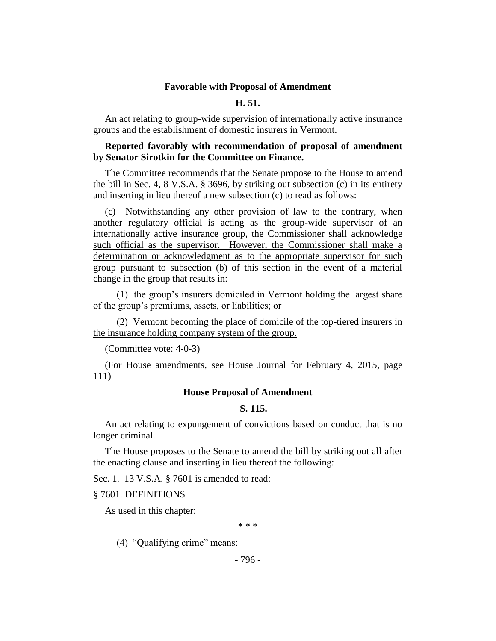## **Favorable with Proposal of Amendment**

## **H. 51.**

An act relating to group-wide supervision of internationally active insurance groups and the establishment of domestic insurers in Vermont.

# **Reported favorably with recommendation of proposal of amendment by Senator Sirotkin for the Committee on Finance.**

The Committee recommends that the Senate propose to the House to amend the bill in Sec. 4, 8 V.S.A. § 3696, by striking out subsection (c) in its entirety and inserting in lieu thereof a new subsection (c) to read as follows:

(c) Notwithstanding any other provision of law to the contrary, when another regulatory official is acting as the group-wide supervisor of an internationally active insurance group, the Commissioner shall acknowledge such official as the supervisor. However, the Commissioner shall make a determination or acknowledgment as to the appropriate supervisor for such group pursuant to subsection (b) of this section in the event of a material change in the group that results in:

(1) the group's insurers domiciled in Vermont holding the largest share of the group's premiums, assets, or liabilities; or

(2) Vermont becoming the place of domicile of the top-tiered insurers in the insurance holding company system of the group.

(Committee vote: 4-0-3)

(For House amendments, see House Journal for February 4, 2015, page 111)

## **House Proposal of Amendment**

# **S. 115.**

An act relating to expungement of convictions based on conduct that is no longer criminal.

The House proposes to the Senate to amend the bill by striking out all after the enacting clause and inserting in lieu thereof the following:

Sec. 1. 13 V.S.A. § 7601 is amended to read:

#### § 7601. DEFINITIONS

As used in this chapter:

\* \* \*

(4) "Qualifying crime" means:

- 796 -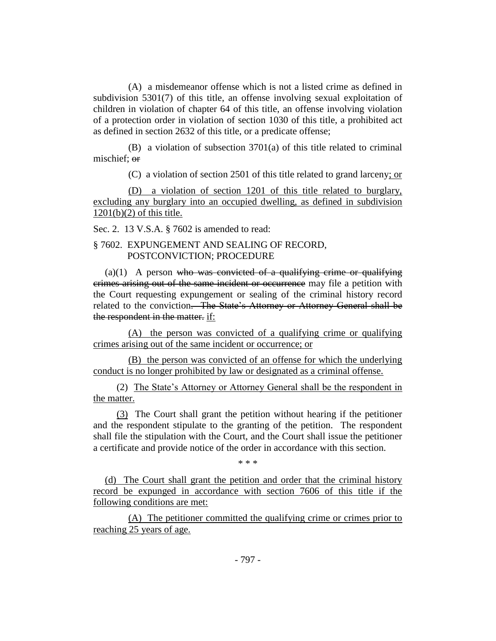(A) a misdemeanor offense which is not a listed crime as defined in subdivision 5301(7) of this title, an offense involving sexual exploitation of children in violation of chapter 64 of this title, an offense involving violation of a protection order in violation of section 1030 of this title, a prohibited act as defined in section 2632 of this title, or a predicate offense;

(B) a violation of subsection 3701(a) of this title related to criminal mischief: or

(C) a violation of section 2501 of this title related to grand larceny; or

(D) a violation of section 1201 of this title related to burglary, excluding any burglary into an occupied dwelling, as defined in subdivision  $1201(b)(2)$  of this title.

Sec. 2. 13 V.S.A. § 7602 is amended to read:

# § 7602. EXPUNGEMENT AND SEALING OF RECORD, POSTCONVICTION; PROCEDURE

 $(a)(1)$  A person who was convicted of a qualifying crime or qualifying crimes arising out of the same incident or occurrence may file a petition with the Court requesting expungement or sealing of the criminal history record related to the conviction. The State's Attorney or Attorney General shall be the respondent in the matter. if:

(A) the person was convicted of a qualifying crime or qualifying crimes arising out of the same incident or occurrence; or

(B) the person was convicted of an offense for which the underlying conduct is no longer prohibited by law or designated as a criminal offense.

(2) The State's Attorney or Attorney General shall be the respondent in the matter.

(3) The Court shall grant the petition without hearing if the petitioner and the respondent stipulate to the granting of the petition. The respondent shall file the stipulation with the Court, and the Court shall issue the petitioner a certificate and provide notice of the order in accordance with this section.

\* \* \*

(d) The Court shall grant the petition and order that the criminal history record be expunged in accordance with section 7606 of this title if the following conditions are met:

(A) The petitioner committed the qualifying crime or crimes prior to reaching 25 years of age.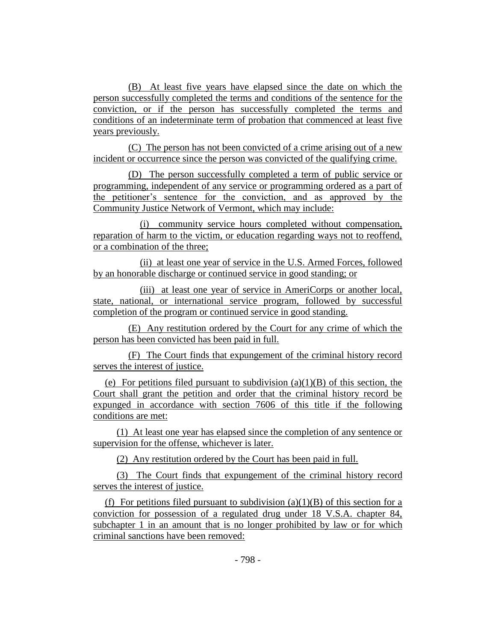(B) At least five years have elapsed since the date on which the person successfully completed the terms and conditions of the sentence for the conviction, or if the person has successfully completed the terms and conditions of an indeterminate term of probation that commenced at least five years previously.

(C) The person has not been convicted of a crime arising out of a new incident or occurrence since the person was convicted of the qualifying crime.

(D) The person successfully completed a term of public service or programming, independent of any service or programming ordered as a part of the petitioner's sentence for the conviction, and as approved by the Community Justice Network of Vermont, which may include:

(i) community service hours completed without compensation, reparation of harm to the victim, or education regarding ways not to reoffend, or a combination of the three;

(ii) at least one year of service in the U.S. Armed Forces, followed by an honorable discharge or continued service in good standing; or

(iii) at least one year of service in AmeriCorps or another local, state, national, or international service program, followed by successful completion of the program or continued service in good standing.

(E) Any restitution ordered by the Court for any crime of which the person has been convicted has been paid in full.

(F) The Court finds that expungement of the criminal history record serves the interest of justice.

(e) For petitions filed pursuant to subdivision  $(a)(1)(B)$  of this section, the Court shall grant the petition and order that the criminal history record be expunged in accordance with section 7606 of this title if the following conditions are met:

(1) At least one year has elapsed since the completion of any sentence or supervision for the offense, whichever is later.

(2) Any restitution ordered by the Court has been paid in full.

(3) The Court finds that expungement of the criminal history record serves the interest of justice.

(f) For petitions filed pursuant to subdivision  $(a)(1)(B)$  of this section for a conviction for possession of a regulated drug under 18 V.S.A. chapter 84, subchapter 1 in an amount that is no longer prohibited by law or for which criminal sanctions have been removed: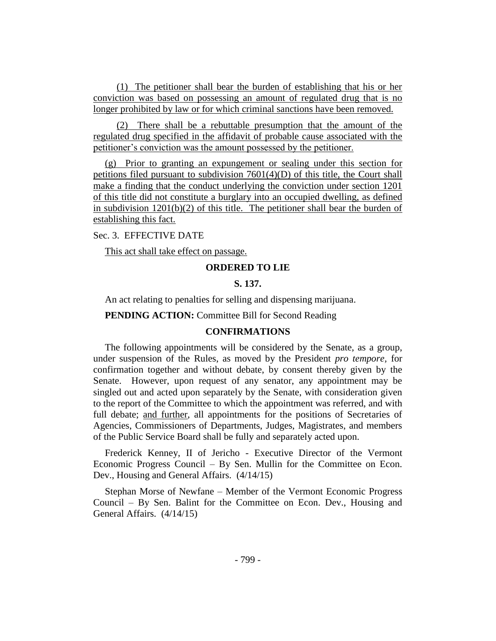(1) The petitioner shall bear the burden of establishing that his or her conviction was based on possessing an amount of regulated drug that is no longer prohibited by law or for which criminal sanctions have been removed.

(2) There shall be a rebuttable presumption that the amount of the regulated drug specified in the affidavit of probable cause associated with the petitioner's conviction was the amount possessed by the petitioner.

(g) Prior to granting an expungement or sealing under this section for petitions filed pursuant to subdivision 7601(4)(D) of this title, the Court shall make a finding that the conduct underlying the conviction under section 1201 of this title did not constitute a burglary into an occupied dwelling, as defined in subdivision  $1201(b)(2)$  of this title. The petitioner shall bear the burden of establishing this fact.

#### Sec. 3. EFFECTIVE DATE

This act shall take effect on passage.

#### **ORDERED TO LIE**

## **S. 137.**

An act relating to penalties for selling and dispensing marijuana.

**PENDING ACTION:** Committee Bill for Second Reading

### **CONFIRMATIONS**

The following appointments will be considered by the Senate, as a group, under suspension of the Rules, as moved by the President *pro tempore,* for confirmation together and without debate, by consent thereby given by the Senate. However, upon request of any senator, any appointment may be singled out and acted upon separately by the Senate, with consideration given to the report of the Committee to which the appointment was referred, and with full debate; and further, all appointments for the positions of Secretaries of Agencies, Commissioners of Departments, Judges, Magistrates, and members of the Public Service Board shall be fully and separately acted upon.

Frederick Kenney, II of Jericho - Executive Director of the Vermont Economic Progress Council – By Sen. Mullin for the Committee on Econ. Dev., Housing and General Affairs. (4/14/15)

Stephan Morse of Newfane – Member of the Vermont Economic Progress Council – By Sen. Balint for the Committee on Econ. Dev., Housing and General Affairs. (4/14/15)